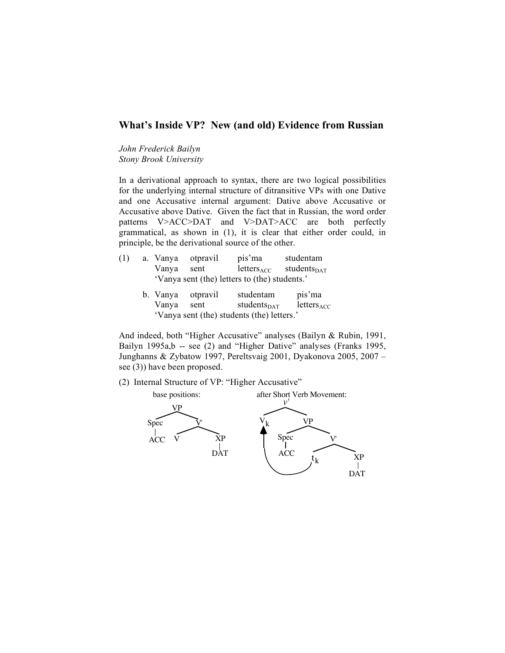# **What's Inside VP? New (and old) Evidence from Russian**

*John Frederick Bailyn Stony Brook University*

In a derivational approach to syntax, there are two logical possibilities for the underlying internal structure of ditransitive VPs with one Dative and one Accusative internal argument: Dative above Accusative or Accusative above Dative. Given the fact that in Russian, the word order patterns V>ACC>DAT and V>DAT>ACC are both perfectly grammatical, as shown in (1), it is clear that either order could, in principle, be the derivational source of the other.

- (1) a. Vanya otpravil pis'ma studentam Vanya sent letters<sub>ACC</sub> students<sub>DAT</sub> 'Vanya sent (the) letters to (the) students.'
	- b. Vanya otpravil studentam pis'ma Vanya sent students $_{\text{DATA}}$  letters 'Vanya sent (the) students (the) letters.'

And indeed, both "Higher Accusative" analyses (Bailyn & Rubin, 1991, Bailyn 1995a,b -- see (2) and "Higher Dative" analyses (Franks 1995, Junghanns & Zybatow 1997, Pereltsvaig 2001, Dyakonova 2005, 2007 – see (3)) have been proposed.

(2) Internal Structure of VP: "Higher Accusative"

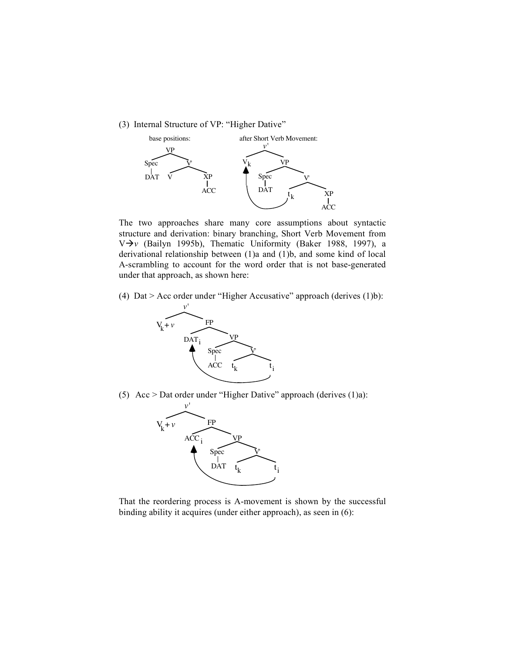(3) Internal Structure of VP: "Higher Dative"



The two approaches share many core assumptions about syntactic structure and derivation: binary branching, Short Verb Movement from V*v* (Bailyn 1995b), Thematic Uniformity (Baker 1988, 1997), a derivational relationship between (1)a and (1)b, and some kind of local A-scrambling to account for the word order that is not base-generated under that approach, as shown here:

(4) Dat > Acc order under "Higher Accusative" approach (derives (1)b):



(5) Acc > Dat order under "Higher Dative" approach (derives  $(1)a$ ):



That the reordering process is A-movement is shown by the successful binding ability it acquires (under either approach), as seen in (6):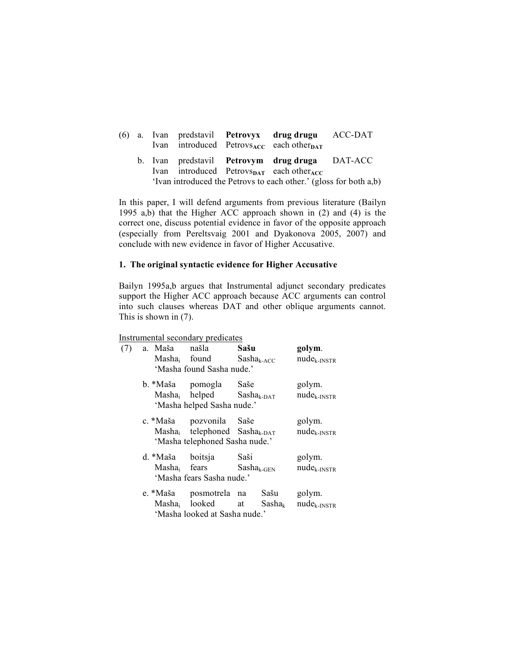|  |  | (6) a. Ivan predstavil <b>Petrovyx drug-drugu</b> ACC-DAT<br>Ivan introduced Petrovs <sub>ACC</sub> each other <sub>DAT</sub>                                                                  |  |
|--|--|------------------------------------------------------------------------------------------------------------------------------------------------------------------------------------------------|--|
|  |  | b. Ivan predstavil <b>Petrovym drug druga</b> DAT-ACC<br>Ivan introduced Petrovs <sub>DAT</sub> each other <sub>ACC</sub><br>'Ivan introduced the Petrovs to each other.' (gloss for both a,b) |  |

In this paper, I will defend arguments from previous literature (Bailyn 1995 a,b) that the Higher ACC approach shown in (2) and (4) is the correct one, discuss potential evidence in favor of the opposite approach (especially from Pereltsvaig 2001 and Dyakonova 2005, 2007) and conclude with new evidence in favor of Higher Accusative.

## **1. The original syntactic evidence for Higher Accusative**

Bailyn 1995a,b argues that Instrumental adjunct secondary predicates support the Higher ACC approach because ACC arguments can control into such clauses whereas DAT and other oblique arguments cannot. This is shown in (7).

## Instrumental secondary predicates

| (7) |  | a. Maša                                                                   | našla<br>Masha <sub>i</sub> found                                                                 | Sašu<br>$Sasha_{k-ACC}$ |      | golym.<br>$nude_{k-INSTR}$                  |  |
|-----|--|---------------------------------------------------------------------------|---------------------------------------------------------------------------------------------------|-------------------------|------|---------------------------------------------|--|
|     |  |                                                                           | 'Masha found Sasha nude.'                                                                         |                         |      |                                             |  |
|     |  |                                                                           | b. *Maša pomogla Saše<br>$Masha_i$ helped $Sasha_{k-DAT}$<br>'Masha helped Sasha nude.'           |                         |      | golym.<br>$nude_{k-INSTR}$                  |  |
|     |  |                                                                           | c. *Maša pozvonila Saše<br>$Masha_i$ telephoned $Sasha_{k-DAT}$<br>'Masha telephoned Sasha nude.' |                         |      | golym.<br>$nude_{k-INSTR}$                  |  |
|     |  | d. *Maša boitsja<br>Masha <sub>i</sub> fears<br>'Masha fears Sasha nude.' |                                                                                                   | Saši<br>$Sasha_{k-GEN}$ |      | golym.<br>$nude_{k-INSTR}$                  |  |
|     |  |                                                                           | e. *Maša posmotrela na<br>Masha <sub>i</sub> looked at<br>'Masha looked at Sasha nude.'           |                         | Sašu | golym.<br>$Sasha_k$ nude <sub>k-INSTR</sub> |  |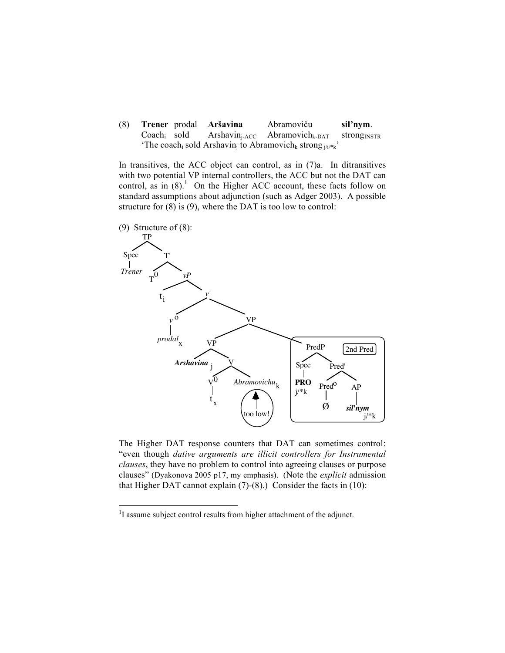(8) **Trener** prodal **Aršavina** Abramoviču **sil'nym**.  $Coach_i$  sold Arshavin<sub>j-ACC</sub> Abramovich<sub>k-DAT</sub> strong<sub>INSTR</sub> 'The coach<sub>i</sub> sold Arshavin<sub>i</sub> to Abramovich<sub>k</sub> strong  $i^{(i)*k}$ '

In transitives, the ACC object can control, as in  $(7)a$ . In ditransitives with two potential VP internal controllers, the ACC but not the DAT can control, as in  $(8)$ .<sup>1</sup> On the Higher ACC account, these facts follow on standard assumptions about adjunction (such as Adger 2003). A possible structure for  $(8)$  is  $(9)$ , where the DAT is too low to control:



The Higher DAT response counters that DAT can sometimes control: "even though *dative arguments are illicit controllers for Instrumental clauses*, they have no problem to control into agreeing clauses or purpose clauses" (Dyakonova 2005 p17, my emphasis). (Note the *explicit* admission that Higher DAT cannot explain (7)-(8).) Consider the facts in (10):

 $\frac{1}{1}$ <sup>1</sup>I assume subject control results from higher attachment of the adjunct.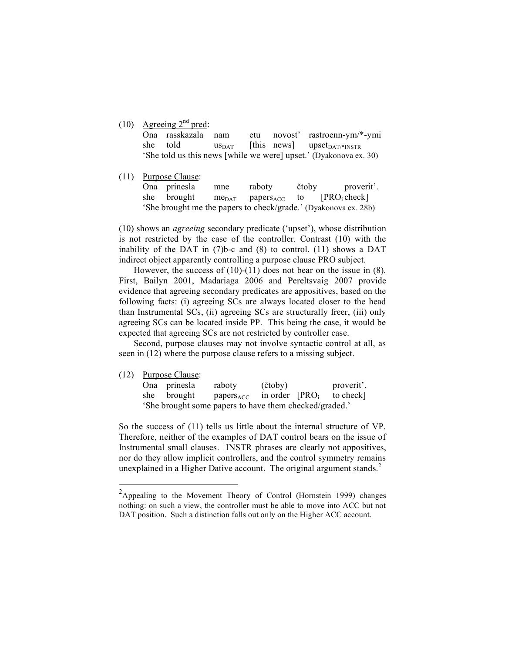(10) Agreeing  $2<sup>nd</sup>$  pred:

| Ona rasskazala nam |  | etu novost' rastroenn-ym/*-ymi                                    |
|--------------------|--|-------------------------------------------------------------------|
| she told           |  | $\text{us}_{\text{DAT}}$ [this news] upset <sub>DAT/*INSTR</sub>  |
|                    |  | 'She told us this news [while we were] upset.' (Dyakonova ex. 30) |

(11) Purpose Clause: Ona prinesla mne raboty čtoby proverit'. she brought me $_{\text{DATA}}$  papers<sub>ACC</sub> to [PRO<sub>i</sub> check] 'She brought me the papers to check/grade.' (Dyakonova ex. 28b)

(10) shows an *agreeing* secondary predicate ('upset'), whose distribution is not restricted by the case of the controller. Contrast (10) with the inability of the DAT in (7)b-c and (8) to control. (11) shows a DAT indirect object apparently controlling a purpose clause PRO subject.

However, the success of (10)-(11) does not bear on the issue in (8). First, Bailyn 2001, Madariaga 2006 and Pereltsvaig 2007 provide evidence that agreeing secondary predicates are appositives, based on the following facts: (i) agreeing SCs are always located closer to the head than Instrumental SCs, (ii) agreeing SCs are structurally freer, (iii) only agreeing SCs can be located inside PP. This being the case, it would be expected that agreeing SCs are not restricted by controller case.

Second, purpose clauses may not involve syntactic control at all, as seen in (12) where the purpose clause refers to a missing subject.

(12) Purpose Clause:

|  | Ona prinesla | raboty                                                 | (čtoby) | proverit'. |
|--|--------------|--------------------------------------------------------|---------|------------|
|  | she brought  | papers <sub>ACC</sub> in order $[PROi$ to check]       |         |            |
|  |              | 'She brought some papers to have them checked/graded.' |         |            |

So the success of (11) tells us little about the internal structure of VP. Therefore, neither of the examples of DAT control bears on the issue of Instrumental small clauses. INSTR phrases are clearly not appositives, nor do they allow implicit controllers, and the control symmetry remains unexplained in a Higher Dative account. The original argument stands. $<sup>2</sup>$ </sup>

<sup>&</sup>lt;sup>2</sup>Appealing to the Movement Theory of Control (Hornstein 1999) changes nothing: on such a view, the controller must be able to move into ACC but not DAT position. Such a distinction falls out only on the Higher ACC account.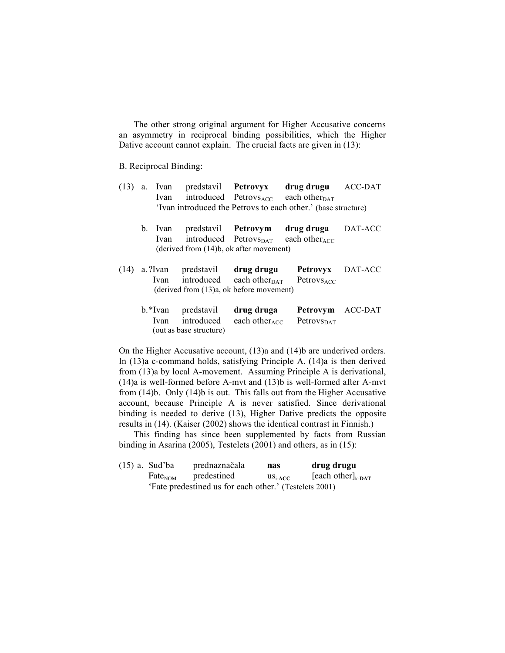The other strong original argument for Higher Accusative concerns an asymmetry in reciprocal binding possibilities, which the Higher Dative account cannot explain. The crucial facts are given in  $(13)$ :

#### B. Reciprocal Binding:

- (13) a. Ivan predstavil **Petrovyx drug drugu** ACC-DAT Ivan introduced Petrovs $_{\text{ACC}}$  each other $_{\text{DATA}}$ 'Ivan introduced the Petrovs to each other.' (base structure)
	- b. Ivan predstavil **Petrovym drug druga** DAT-ACC Ivan introduced Petrovs $_{\text{DATA}}$  each other<sub>ACC</sub> (derived from (14)b, ok after movement)
- (14) a. ?Ivan predstavil **drug drugu Petrovyx** DAT-ACC Ivan introduced each other $_{\text{DATA}}$  Petrovs<sub>ACC</sub> (derived from (13)a, ok before movement)
	- b.\*Ivan predstavil **drug druga Petrovym** ACC-DAT Ivan introduced each other $_{ACC}$  Petrovs<sub>DAT</sub> (out as base structure)

On the Higher Accusative account, (13)a and (14)b are underived orders. In (13)a c-command holds, satisfying Principle A. (14)a is then derived from (13)a by local A-movement. Assuming Principle A is derivational, (14)a is well-formed before A-mvt and (13)b is well-formed after A-mvt from (14)b. Only (14)b is out. This falls out from the Higher Accusative account, because Principle A is never satisfied. Since derivational binding is needed to derive (13), Higher Dative predicts the opposite results in (14). (Kaiser (2002) shows the identical contrast in Finnish.)

This finding has since been supplemented by facts from Russian binding in Asarina (2005), Testelets (2001) and others, as in (15):

(15) a. Sud'ba prednaznačala **nas drug drugu**  $\text{Fate}_{\text{NOM}}$  predestined us<sub>i-ACC</sub> [each other]<sub>k-DAT</sub> 'Fate predestined us for each other.' (Testelets 2001)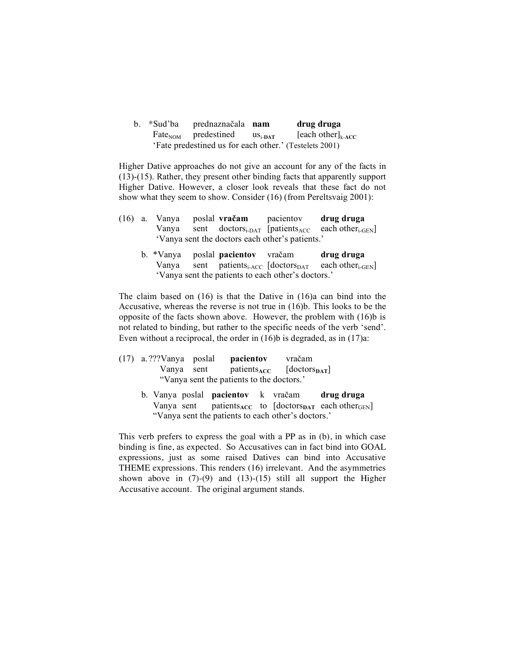b. \*Sud'ba prednaznačala **nam drug druga**  $\text{Fate}_{\text{NOM}}$  predestined us<sub>i-DAT</sub> [each other]<sub>k-ACC</sub> 'Fate predestined us for each other.' (Testelets 2001)

Higher Dative approaches do not give an account for any of the facts in (13)-(15). Rather, they present other binding facts that apparently support Higher Dative. However, a closer look reveals that these fact do not show what they seem to show. Consider (16) (from Pereltsvaig 2001):

|  | $(16)$ a. Vanya poslal vračam |                                                 | pacientov | drug druga                                                                                 |
|--|-------------------------------|-------------------------------------------------|-----------|--------------------------------------------------------------------------------------------|
|  |                               |                                                 |           | Vanya sent doctors <sub>i-DAT</sub> [patients <sub>ACC</sub> each other <sub>i-GEN</sub> ] |
|  |                               | 'Vanya sent the doctors each other's patients.' |           |                                                                                            |

b. \*Vanya poslal **pacientov** vračam **drug druga** Vanya sent patients<sub>i-ACC</sub> [doctors<sub>DAT</sub> each other<sub>i-GEN</sub>] 'Vanya sent the patients to each other's doctors.'

The claim based on (16) is that the Dative in (16)a can bind into the Accusative, whereas the reverse is not true in (16)b. This looks to be the opposite of the facts shown above. However, the problem with (16)b is not related to binding, but rather to the specific needs of the verb 'send'. Even without a reciprocal, the order in (16)b is degraded, as in (17)a:

- (17) a. ???Vanya poslal **pacientov** vračam Vanya sent patients<sub>ACC</sub> [doctors<sub>pAT</sub>] "Vanya sent the patients to the doctors.'
	- b. Vanya poslal **pacientov** k vračam **drug druga** Vanya sent patients<sub>ACC</sub> to  $[doctors<sub>DATA</sub> each other<sub>GEN</sub>]$ "Vanya sent the patients to each other's doctors.'

This verb prefers to express the goal with a PP as in (b), in which case binding is fine, as expected. So Accusatives can in fact bind into GOAL expressions, just as some raised Datives can bind into Accusative THEME expressions. This renders (16) irrelevant. And the asymmetries shown above in  $(7)-(9)$  and  $(13)-(15)$  still all support the Higher Accusative account. The original argument stands.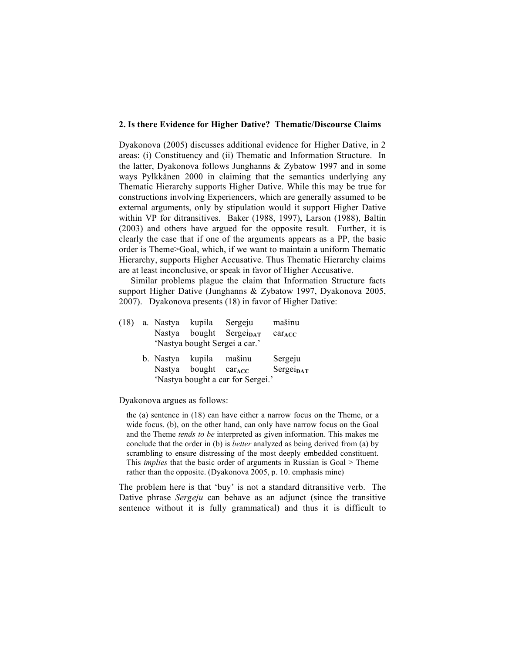## **2. Is there Evidence for Higher Dative? Thematic/Discourse Claims**

Dyakonova (2005) discusses additional evidence for Higher Dative, in 2 areas: (i) Constituency and (ii) Thematic and Information Structure. In the latter, Dyakonova follows Junghanns & Zybatow 1997 and in some ways Pylkkänen 2000 in claiming that the semantics underlying any Thematic Hierarchy supports Higher Dative. While this may be true for constructions involving Experiencers, which are generally assumed to be external arguments, only by stipulation would it support Higher Dative within VP for ditransitives. Baker (1988, 1997), Larson (1988), Baltin (2003) and others have argued for the opposite result. Further, it is clearly the case that if one of the arguments appears as a PP, the basic order is Theme>Goal, which, if we want to maintain a uniform Thematic Hierarchy, supports Higher Accusative. Thus Thematic Hierarchy claims are at least inconclusive, or speak in favor of Higher Accusative.

Similar problems plague the claim that Information Structure facts support Higher Dative (Junghanns & Zybatow 1997, Dyakonova 2005, 2007). Dyakonova presents (18) in favor of Higher Dative:

|  | (18) a. Nastya                    | kupila | Sergeju                      | mašinu      |  |  |
|--|-----------------------------------|--------|------------------------------|-------------|--|--|
|  | Nastya                            |        | bought Sergei <sub>DAT</sub> | $car_{ACC}$ |  |  |
|  | 'Nastya bought Sergei a car.'     |        |                              |             |  |  |
|  | b. Nastya                         | kupila | mašinu                       | Sergeju     |  |  |
|  | Nastya                            | bought | $car_{ACC}$                  | SergeipAT   |  |  |
|  | 'Nastya bought a car for Sergei.' |        |                              |             |  |  |

Dyakonova argues as follows:

the (a) sentence in (18) can have either a narrow focus on the Theme, or a wide focus. (b), on the other hand, can only have narrow focus on the Goal and the Theme *tends to be* interpreted as given information. This makes me conclude that the order in (b) is *better* analyzed as being derived from (a) by scrambling to ensure distressing of the most deeply embedded constituent. This *implies* that the basic order of arguments in Russian is Goal > Theme rather than the opposite. (Dyakonova 2005, p. 10. emphasis mine)

The problem here is that 'buy' is not a standard ditransitive verb. The Dative phrase *Sergeju* can behave as an adjunct (since the transitive sentence without it is fully grammatical) and thus it is difficult to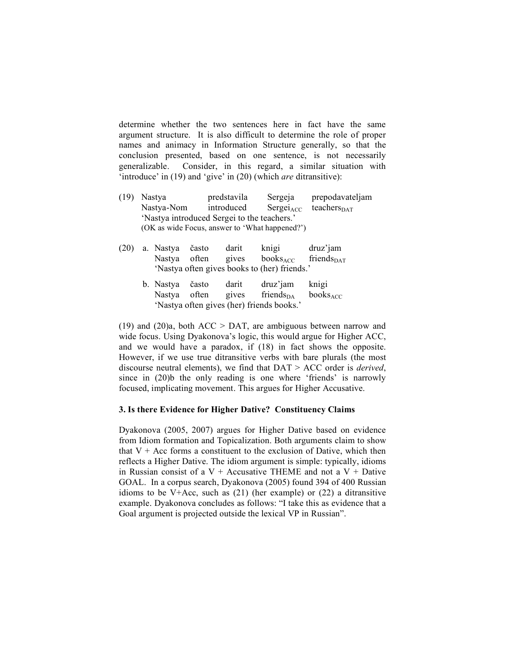determine whether the two sentences here in fact have the same argument structure. It is also difficult to determine the role of proper names and animacy in Information Structure generally, so that the conclusion presented, based on one sentence, is not necessarily generalizable. Consider, in this regard, a similar situation with 'introduce' in (19) and 'give' in (20) (which *are* ditransitive):

- (19) Nastya predstavila Sergeja prepodavateljam  $N$ astya-Nom introduced Sergei<sub>ACC</sub> teachers<sub>DAT</sub> 'Nastya introduced Sergei to the teachers.' (OK as wide Focus, answer to 'What happened?')
- (20) a. Nastya často darit knigi druz'jam Nastya often gives  $books_{ACC}$  friends $_{DATA}$ 'Nastya often gives books to (her) friends.' b. Nastya často darit druz'jam knigi
	- Nastya often gives friends $_{DA}$  books $_{ACC}$ 'Nastya often gives (her) friends books.'

(19) and (20)a, both  $ACC > DAT$ , are ambiguous between narrow and wide focus. Using Dyakonova's logic, this would argue for Higher ACC, and we would have a paradox, if (18) in fact shows the opposite. However, if we use true ditransitive verbs with bare plurals (the most discourse neutral elements), we find that DAT > ACC order is *derived*, since in (20)b the only reading is one where 'friends' is narrowly focused, implicating movement. This argues for Higher Accusative.

#### **3. Is there Evidence for Higher Dative? Constituency Claims**

Dyakonova (2005, 2007) argues for Higher Dative based on evidence from Idiom formation and Topicalization. Both arguments claim to show that  $V + Acc$  forms a constituent to the exclusion of Dative, which then reflects a Higher Dative. The idiom argument is simple: typically, idioms in Russian consist of a  $V +$  Accusative THEME and not a  $V +$  Dative GOAL. In a corpus search, Dyakonova (2005) found 394 of 400 Russian idioms to be V+Acc, such as  $(21)$  (her example) or  $(22)$  a ditransitive example. Dyakonova concludes as follows: "I take this as evidence that a Goal argument is projected outside the lexical VP in Russian".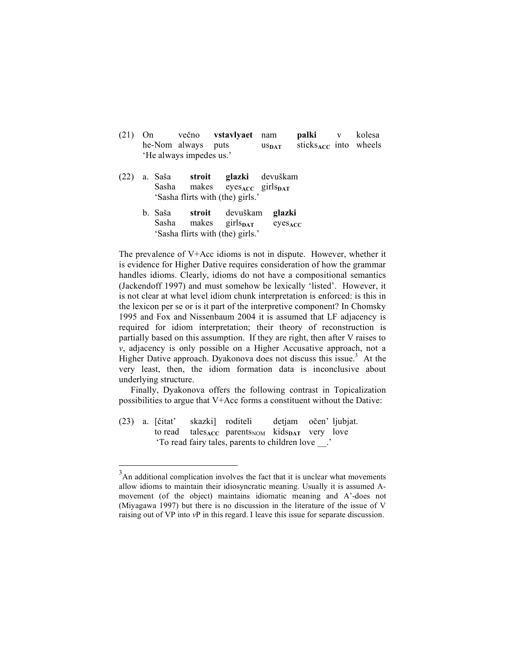- (21) On večno **vstavlyaet** nam **palki** v kolesa he-Nom always puts us<sub>DAT</sub> sticks<sub>ACC</sub> into wheels 'He always impedes us.'
- (22) a. Saša **stroit glazki** devuškam Sasha makes eyes<sub>ACC</sub> girls<sub>DAT</sub> 'Sasha flirts with (the) girls.'
	- b. Saša **stroit** devuškam **glazki** Sasha makes girls<sub>par</sub> eyes<sub>ACC</sub> 'Sasha flirts with (the) girls.'

The prevalence of V+Acc idioms is not in dispute. However, whether it is evidence for Higher Dative requires consideration of how the grammar handles idioms. Clearly, idioms do not have a compositional semantics (Jackendoff 1997) and must somehow be lexically 'listed'. However, it is not clear at what level idiom chunk interpretation is enforced: is this in the lexicon per se or is it part of the interpretive component? In Chomsky 1995 and Fox and Nissenbaum 2004 it is assumed that LF adjacency is required for idiom interpretation; their theory of reconstruction is partially based on this assumption. If they are right, then after V raises to *v*, adjacency is only possible on a Higher Accusative approach, not a Higher Dative approach. Dyakonova does not discuss this issue.<sup>3</sup> At the very least, then, the idiom formation data is inconclusive about underlying structure.

Finally, Dyakonova offers the following contrast in Topicalization possibilities to argue that V+Acc forms a constituent without the Dative:

(23) a. [čitat' skazki] roditeli detjam očen' ljubjat. to read tales<sub>ACC</sub> parents<sub>NOM</sub> kids<sub>DAT</sub> very love 'To read fairy tales, parents to children love \_\_.'

<sup>&</sup>lt;sup>3</sup>An additional complication involves the fact that it is unclear what movements allow idioms to maintain their idiosyncratic meaning. Usually it is assumed Amovement (of the object) maintains idiomatic meaning and A'-does not (Miyagawa 1997) but there is no discussion in the literature of the issue of V raising out of VP into *v*P in this regard. I leave this issue for separate discussion.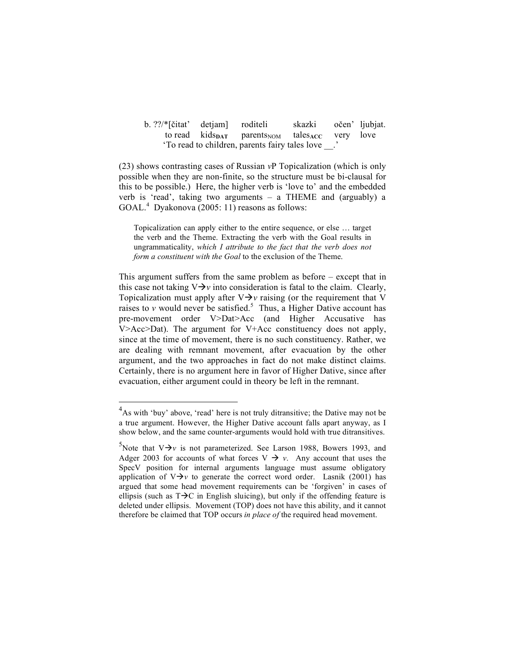| b. ??/*[čitat' detjam] roditeli |                                                                                    | skazki <sup>-</sup> | očen' ljubjat. |
|---------------------------------|------------------------------------------------------------------------------------|---------------------|----------------|
|                                 | to read $kids_{\text{DATA}}$ parents <sub>NOM</sub> tales <sub>ACC</sub> very love |                     |                |
|                                 | To read to children, parents fairy tales love .                                    |                     |                |

(23) shows contrasting cases of Russian *v*P Topicalization (which is only possible when they are non-finite, so the structure must be bi-clausal for this to be possible.) Here, the higher verb is 'love to' and the embedded verb is 'read', taking two arguments – a THEME and (arguably) a GOAL.<sup>4</sup> Dyakonova (2005: 11) reasons as follows:

Topicalization can apply either to the entire sequence, or else … target the verb and the Theme. Extracting the verb with the Goal results in ungrammaticality, *which I attribute to the fact that the verb does not form a constituent with the Goal* to the exclusion of the Theme.

This argument suffers from the same problem as before – except that in this case not taking  $V \rightarrow v$  into consideration is fatal to the claim. Clearly, Topicalization must apply after  $V \rightarrow V$  raising (or the requirement that V raises to  $v$  would never be satisfied.<sup>5</sup> Thus, a Higher Dative account has pre-movement order V>Dat>Acc (and Higher Accusative has V>Acc>Dat). The argument for V+Acc constituency does not apply, since at the time of movement, there is no such constituency. Rather, we are dealing with remnant movement, after evacuation by the other argument, and the two approaches in fact do not make distinct claims. Certainly, there is no argument here in favor of Higher Dative, since after evacuation, either argument could in theory be left in the remnant.

 <sup>4</sup> As with 'buy' above, 'read' here is not truly ditransitive; the Dative may not be a true argument. However, the Higher Dative account falls apart anyway, as I show below, and the same counter-arguments would hold with true ditransitives.

<sup>&</sup>lt;sup>5</sup>Note that  $V \rightarrow v$  is not parameterized. See Larson 1988, Bowers 1993, and Adger 2003 for accounts of what forces  $V \rightarrow v$ . Any account that uses the SpecV position for internal arguments language must assume obligatory application of  $V \rightarrow v$  to generate the correct word order. Lasnik (2001) has argued that some head movement requirements can be 'forgiven' in cases of ellipsis (such as  $T\rightarrow C$  in English sluicing), but only if the offending feature is deleted under ellipsis. Movement (TOP) does not have this ability, and it cannot therefore be claimed that TOP occurs *in place of* the required head movement.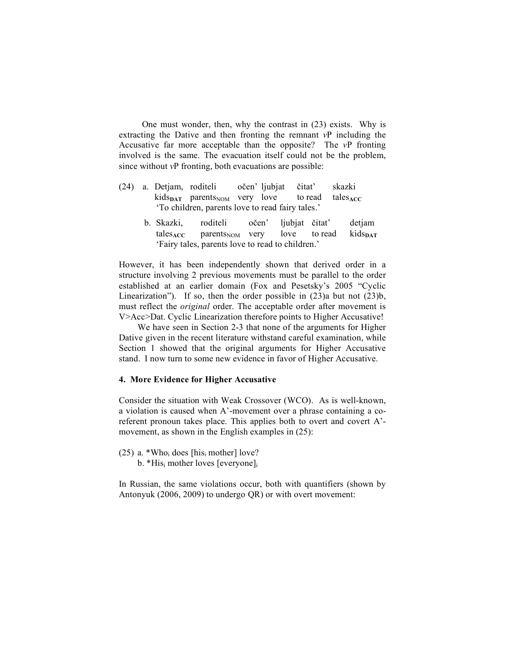One must wonder, then, why the contrast in (23) exists. Why is extracting the Dative and then fronting the remnant *v*P including the Accusative far more acceptable than the opposite? The *v*P fronting involved is the same. The evacuation itself could not be the problem, since without *v*P fronting, both evacuations are possible:

- (24) a. Detjam, roditeli očen' ljubjat čitat' skazki  $kids<sub>DATA</sub>$  parents<sub>NOM</sub> very love to read tales<sub>ACC</sub> 'To children, parents love to read fairy tales.'
	- b. Skazki, roditeli očen' ljubjat čitat' detjam tales<sub>ACC</sub> parents<sub>NOM</sub> very love to read kids<sub>DAT</sub> 'Fairy tales, parents love to read to children.'

However, it has been independently shown that derived order in a structure involving 2 previous movements must be parallel to the order established at an earlier domain (Fox and Pesetsky's 2005 "Cyclic Linearization"). If so, then the order possible in  $(23)a$  but not  $(23)b$ , must reflect the *original* order. The acceptable order after movement is V>Acc>Dat. Cyclic Linearization therefore points to Higher Accusative!

We have seen in Section 2-3 that none of the arguments for Higher Dative given in the recent literature withstand careful examination, while Section 1 showed that the original arguments for Higher Accusative stand. I now turn to some new evidence in favor of Higher Accusative.

## **4. More Evidence for Higher Accusative**

Consider the situation with Weak Crossover (WCO). As is well-known, a violation is caused when A'-movement over a phrase containing a coreferent pronoun takes place. This applies both to overt and covert A' movement, as shown in the English examples in (25):

(25) a. \*Who<sub>i</sub> does [his<sub>i</sub> mother] love? b.  $*His<sub>i</sub>$  mother loves [everyone] $<sub>i</sub>$ </sub>

In Russian, the same violations occur, both with quantifiers (shown by Antonyuk (2006, 2009) to undergo QR) or with overt movement: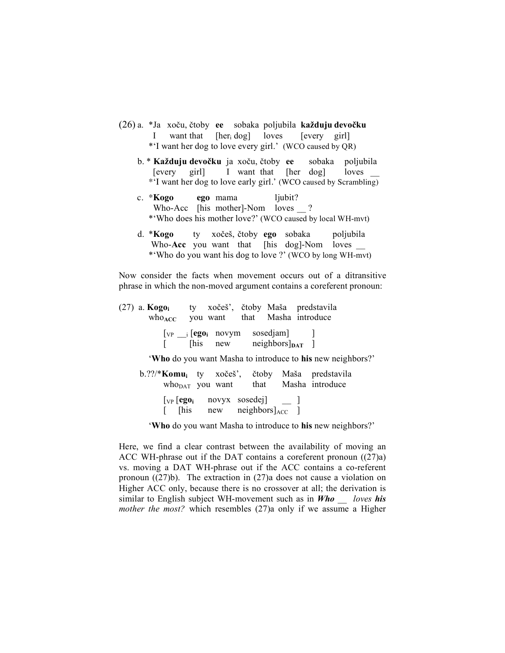- (26) a. \*Ja xoču, čtoby **ee** sobaka poljubila **každuju devočku** I want that [her<sub>i</sub> dog] loves [every girl] \*'I want her dog to love every girl.' (WCO caused by QR)
	- b. \* **Každuju devočku** ja xoču, čtoby **ee** sobaka poljubila [every girl] I want that [her dog] loves \_\_ \*'I want her dog to love early girl.' (WCO caused by Scrambling)
	- c. \***Kogo ego** mama ljubit? Who-Acc [his mother]-Nom loves ? \*'Who does his mother love?' (WCO caused by local WH-mvt)
	- d. \***Kogo** ty xočeš, čtoby **ego** sobaka poljubila Who-Acc you want that [his dog]-Nom loves \_\_ \*'Who do you want his dog to love ?' (WCO by long WH-mvt)

Now consider the facts when movement occurs out of a ditransitive phrase in which the non-moved argument contains a coreferent pronoun:

(27) a. **Kogoi** ty xočeš', čtoby Maša predstavila who<sub>ACC</sub> you want that Masha introduce  $[\text{vp} \_\text{i} [\text{ego}_i \text{novym} \text{sosedjam}]$  ]  $\begin{bmatrix}$  [his new neighbors] $_{\text{DATA}}$  ] '**Who** do you want Masha to introduce to **his** new neighbors?' b.??/\***Komui** ty xočeš', čtoby Maša predstavila  $who<sub>DATA</sub>$  you want that Masha introduce [VP [**egoi** novyx sosedej] \_\_ ]

 $\left[$  [his new neighbors] $_{\text{ACC}}$  ]

'**Who** do you want Masha to introduce to **his** new neighbors?'

Here, we find a clear contrast between the availability of moving an ACC WH-phrase out if the DAT contains a coreferent pronoun ((27)a) vs. moving a DAT WH-phrase out if the ACC contains a co-referent pronoun  $((27)b)$ . The extraction in  $(27)a$  does not cause a violation on Higher ACC only, because there is no crossover at all; the derivation is similar to English subject WH-movement such as in *Who \_\_ loves his mother the most?* which resembles (27)a only if we assume a Higher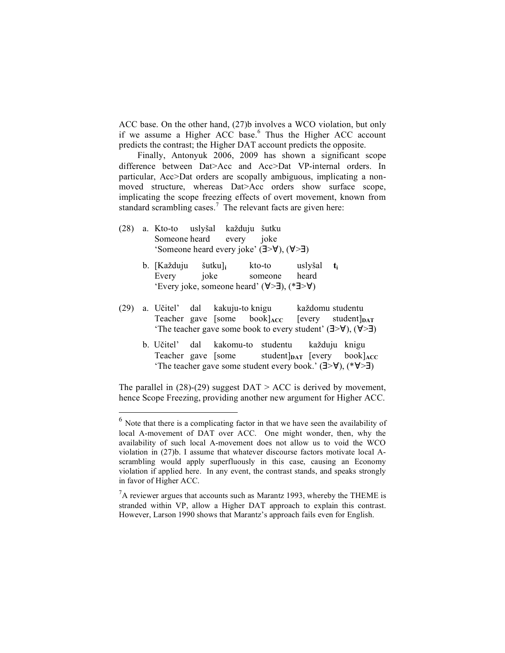ACC base. On the other hand, (27)b involves a WCO violation, but only if we assume a Higher ACC base.<sup>6</sup> Thus the Higher ACC account predicts the contrast; the Higher DAT account predicts the opposite.

Finally, Antonyuk 2006, 2009 has shown a significant scope difference between Dat>Acc and Acc>Dat VP-internal orders. In particular, Acc>Dat orders are scopally ambiguous, implicating a nonmoved structure, whereas Dat>Acc orders show surface scope, implicating the scope freezing effects of overt movement, known from standard scrambling cases.<sup>7</sup> The relevant facts are given here:

- (28) a. Kto-to uslyšal každuju šutku Someone heard every joke 'Someone heard every joke' (∃>∀), (∀>∃)
	- b. [Každuju šutku]**<sup>i</sup>** kto-to uslyšal **ti** Every joke someone heard 'Every joke, someone heard' (∀>∃), (\*∃>∀)
- (29) a. Učitel' dal kakuju-to knigu každomu studentu Teacher gave [some book]<sub>ACC</sub> [every student]<sub>DAT</sub> 'The teacher gave some book to every student' (∃>∀), (∀>∃)
	- b. Učitel' dal kakomu-to studentu každuju knigu Teacher gave [some student] $_{\text{DATA}}$  [every book] $_{\text{ACC}}$ 'The teacher gave some student every book.' (∃>∀), (\*∀>∃)

The parallel in  $(28)-(29)$  suggest  $DATA > ACC$  is derived by movement, hence Scope Freezing, providing another new argument for Higher ACC.

 $6$  Note that there is a complicating factor in that we have seen the availability of local A-movement of DAT over ACC. One might wonder, then, why the availability of such local A-movement does not allow us to void the WCO violation in (27)b. I assume that whatever discourse factors motivate local Ascrambling would apply superfluously in this case, causing an Economy violation if applied here. In any event, the contrast stands, and speaks strongly in favor of Higher ACC.

 ${}^{7}$ A reviewer argues that accounts such as Marantz 1993, whereby the THEME is stranded within VP, allow a Higher DAT approach to explain this contrast. However, Larson 1990 shows that Marantz's approach fails even for English.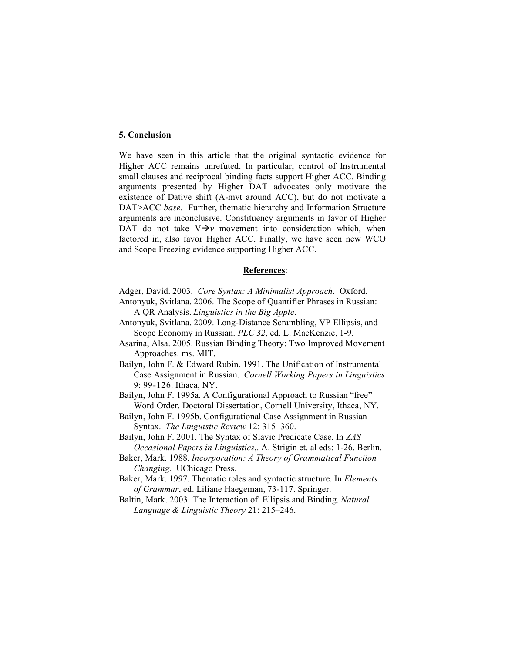## **5. Conclusion**

We have seen in this article that the original syntactic evidence for Higher ACC remains unrefuted. In particular, control of Instrumental small clauses and reciprocal binding facts support Higher ACC. Binding arguments presented by Higher DAT advocates only motivate the existence of Dative shift (A-mvt around ACC), but do not motivate a DAT>ACC *base.* Further, thematic hierarchy and Information Structure arguments are inconclusive. Constituency arguments in favor of Higher DAT do not take  $V \rightarrow V$  movement into consideration which, when factored in, also favor Higher ACC. Finally, we have seen new WCO and Scope Freezing evidence supporting Higher ACC.

#### **References**:

Adger, David. 2003. *Core Syntax: A Minimalist Approach*. Oxford.

- Antonyuk, Svitlana. 2006. The Scope of Quantifier Phrases in Russian: A QR Analysis. *Linguistics in the Big Apple*.
- Antonyuk, Svitlana. 2009. Long-Distance Scrambling, VP Ellipsis, and Scope Economy in Russian. *PLC 32*, ed. L. MacKenzie, 1-9.
- Asarina, Alsa. 2005. Russian Binding Theory: Two Improved Movement Approaches. ms. MIT.

Bailyn, John F. & Edward Rubin. 1991. The Unification of Instrumental Case Assignment in Russian. *Cornell Working Papers in Linguistics* 9: 99-126. Ithaca, NY.

- Bailyn, John F. 1995a. A Configurational Approach to Russian "free" Word Order. Doctoral Dissertation, Cornell University, Ithaca, NY.
- Bailyn, John F. 1995b. Configurational Case Assignment in Russian Syntax. *The Linguistic Review* 12: 315–360.
- Bailyn, John F. 2001. The Syntax of Slavic Predicate Case. In *ZAS Occasional Papers in Linguistics*,. A. Strigin et. al eds: 1-26. Berlin.
- Baker, Mark. 1988. *Incorporation: A Theory of Grammatical Function Changing*. UChicago Press.
- Baker, Mark. 1997. Thematic roles and syntactic structure. In *Elements of Grammar*, ed. Liliane Haegeman, 73-117. Springer.
- Baltin, Mark. 2003. The Interaction of Ellipsis and Binding. *Natural Language & Linguistic Theory* 21: 215–246.